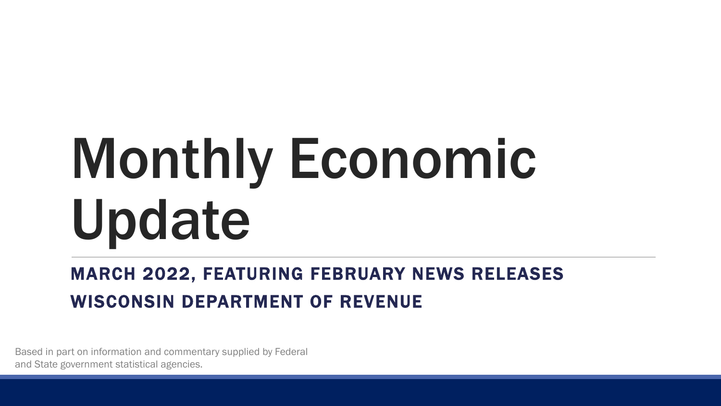# Monthly Economic Update

#### MARCH 2022, FEATURING FEBRUARY NEWS RELEASES WISCONSIN DEPARTMENT OF REVENUE

Based in part on information and commentary supplied by Federal and State government statistical agencies.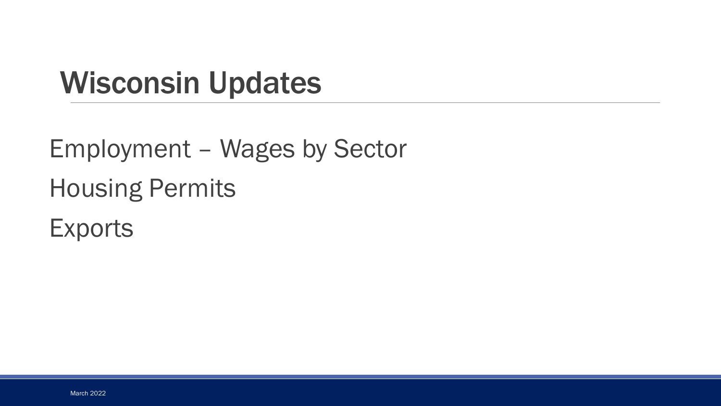#### Wisconsin Updates

Employment – Wages by Sector Housing Permits **Exports**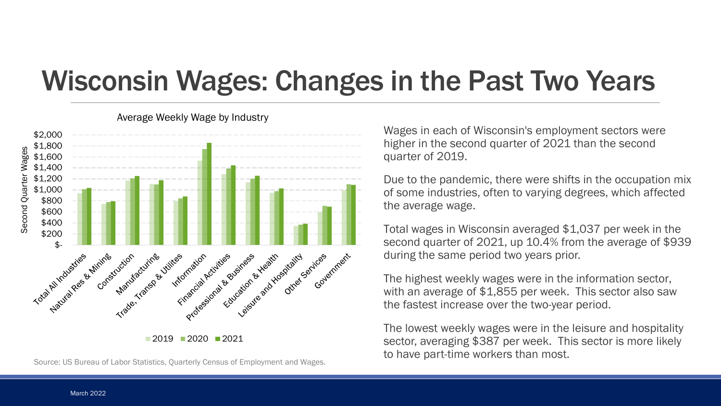#### Wisconsin Wages: Changes in the Past Two Years



Average Weekly Wage by Industry

Source: US Bureau of Labor Statistics, Quarterly Census of Employment and Wages.

Wages in each of Wisconsin's employment sectors were higher in the second quarter of 2021 than the second quarter of 2019.

Due to the pandemic, there were shifts in the occupation mix of some industries, often to varying degrees, which affected the average wage.

Total wages in Wisconsin averaged \$1,037 per week in the second quarter of 2021, up 10.4% from the average of \$939 during the same period two years prior.

The highest weekly wages were in the information sector, with an average of \$1,855 per week. This sector also saw the fastest increase over the two-year period.

The lowest weekly wages were in the leisure and hospitality sector, averaging \$387 per week. This sector is more likely to have part-time workers than most.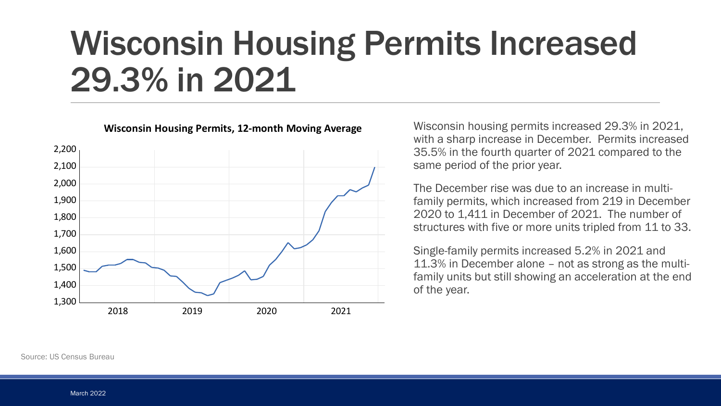# Wisconsin Housing Permits Increased 29.3% in 2021



#### **Wisconsin Housing Permits, 12-month Moving Average**

Wisconsin housing permits increased 29.3% in 2021, with a sharp increase in December. Permits increased 35.5% in the fourth quarter of 2021 compared to the same period of the prior year.

The December rise was due to an increase in multifamily permits, which increased from 219 in December 2020 to 1,411 in December of 2021. The number of structures with five or more units tripled from 11 to 33.

Single-family permits increased 5.2% in 2021 and 11.3% in December alone – not as strong as the multifamily units but still showing an acceleration at the end of the year.

Source: US Census Bureau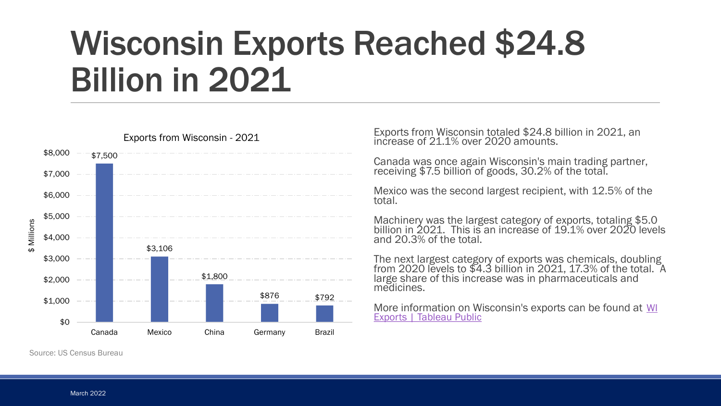# Wisconsin Exports Reached \$24.8 Billion in 2021



Exports from Wisconsin - 2021

Exports from Wisconsin totaled \$24.8 billion in 2021, an increase of 21.1% over 2020 amounts.

Canada was once again Wisconsin's main trading partner, receiving \$7.5 billion of goods, 30.2% of the total.

Mexico was the second largest recipient, with 12.5% of the total.

Machinery was the largest category of exports, totaling \$5.0 billion in 2021. This is an increase of 19.1% over 2020 levels and 20.3% of the total.

The next largest category of exports was chemicals, doubling from 2020 levels to \$4.3 billion in 2021, 17.3% of the total. A large share of this increase was in pharmaceuticals and medicines.

More information on Wisconsin's exports can be found at WI **Exports | Tableau Public** 

Source: US Census Bureau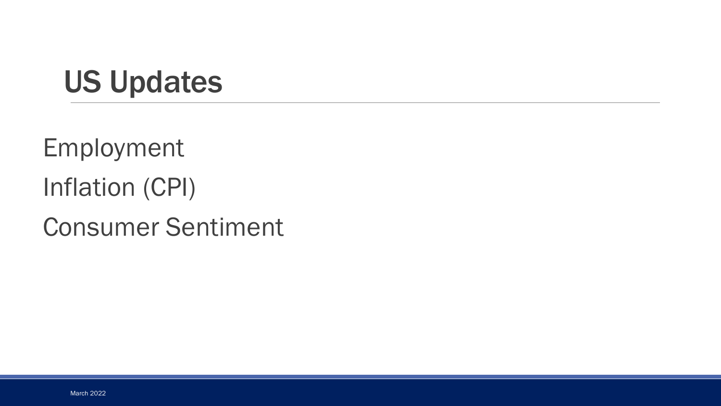#### US Updates

Employment Inflation (CPI)

Consumer Sentiment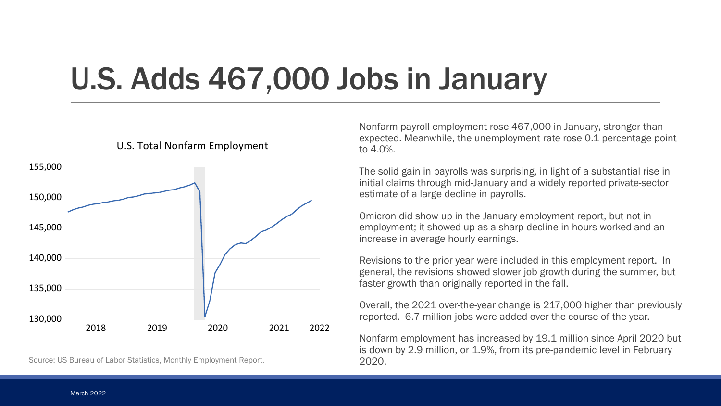### U.S. Adds 467,000 Jobs in January



Source: US Bureau of Labor Statistics, Monthly Employment Report.

Nonfarm payroll employment rose 467,000 in January, stronger than expected. Meanwhile, the unemployment rate rose 0.1 percentage point to 4.0%.

The solid gain in payrolls was surprising, in light of a substantial rise in initial claims through mid-January and a widely reported private-sector estimate of a large decline in payrolls.

Omicron did show up in the January employment report, but not in employment; it showed up as a sharp decline in hours worked and an increase in average hourly earnings.

Revisions to the prior year were included in this employment report. In general, the revisions showed slower job growth during the summer, but faster growth than originally reported in the fall.

Overall, the 2021 over-the-year change is 217,000 higher than previously reported. 6.7 million jobs were added over the course of the year.

Nonfarm employment has increased by 19.1 million since April 2020 but is down by 2.9 million, or 1.9%, from its pre-pandemic level in February 2020.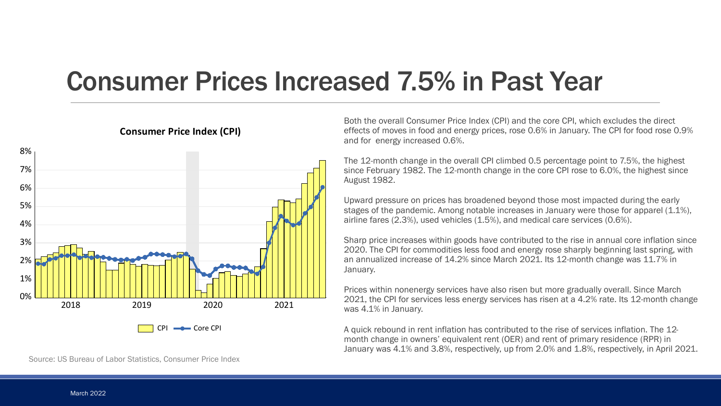#### Consumer Prices Increased 7.5% in Past Year



#### **Consumer Price Index (CPI)**

Both the overall Consumer Price Index (CPI) and the core CPI, which excludes the direct effects of moves in food and energy prices, rose 0.6% in January. The CPI for food rose 0.9% and for energy increased 0.6%.

The 12-month change in the overall CPI climbed 0.5 percentage point to 7.5%, the highest since February 1982. The 12-month change in the core CPI rose to 6.0%, the highest since August 1982.

Upward pressure on prices has broadened beyond those most impacted during the early stages of the pandemic. Among notable increases in January were those for apparel (1.1%), airline fares (2.3%), used vehicles (1.5%), and medical care services (0.6%).

Sharp price increases within goods have contributed to the rise in annual core inflation since 2020. The CPI for commodities less food and energy rose sharply beginning last spring, with an annualized increase of 14.2% since March 2021. Its 12-month change was 11.7% in January.

Prices within nonenergy services have also risen but more gradually overall. Since March 2021, the CPI for services less energy services has risen at a 4.2% rate. Its 12-month change was 4.1% in January.

A quick rebound in rent inflation has contributed to the rise of services inflation. The 12 month change in owners' equivalent rent (OER) and rent of primary residence (RPR) in January was 4.1% and 3.8%, respectively, up from 2.0% and 1.8%, respectively, in April 2021.

Source: US Bureau of Labor Statistics, Consumer Price Index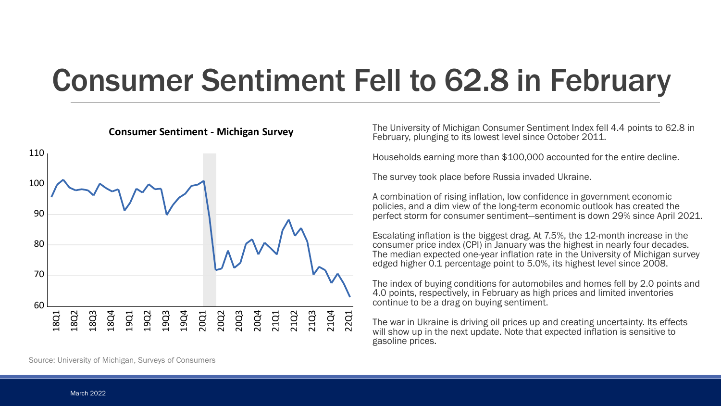## Consumer Sentiment Fell to 62.8 in February



The University of Michigan Consumer Sentiment Index fell 4.4 points to 62.8 in February, plunging to its lowest level since October 2011.

Households earning more than \$100,000 accounted for the entire decline.

The survey took place before Russia invaded Ukraine.

A combination of rising inflation, low confidence in government economic policies, and a dim view of the long-term economic outlook has created the perfect storm for consumer sentiment—sentiment is down 29% since April 2021.

Escalating inflation is the biggest drag. At 7.5%, the 12-month increase in the consumer price index (CPI) in January was the highest in nearly four decades. The median expected one-year inflation rate in the University of Michigan survey edged higher 0.1 percentage point to 5.0%, its highest level since 2008.

The index of buying conditions for automobiles and homes fell by 2.0 points and 4.0 points, respectively, in February as high prices and limited inventories continue to be a drag on buying sentiment.

The war in Ukraine is driving oil prices up and creating uncertainty. Its effects will show up in the next update. Note that expected inflation is sensitive to gasoline prices.

Source: University of Michigan, Surveys of Consumers